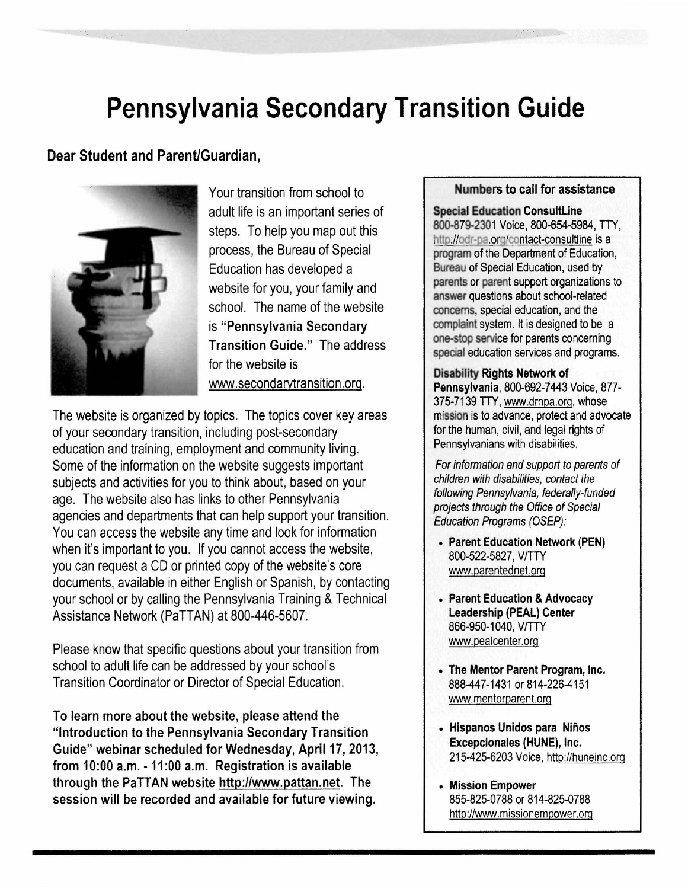# **Pennsylvania Secondary Transition Guide**

## Dear Student and Parent/Guardian,



Your transition from school to adult life is an important series of steps. To help you map out this process, the Bureau of Special Education has developed a website for you, your family and school. The name of the website is "Pennsylvania Secondary Transition Guide." The address for the website is www.secondarvtransition.org.

The website is organized by topics. The topics cover key areas of your secondary transition, including post-secondary education and training, employment and community living. Some of the information on the website suggests important subjects and activities for you to think about, based on your age. The website also has links to other Pennsylvania agencies and departments that can help support your transition. You can access the website any time and look for information when it's important to you. If you cannot access the website, you can request a CD or printed copy of the website's core documents, available in either English or Spanish, by contacting your school or by calling the Pennsylvania Training & Technical Assistance Network (PaTTAN) at 800-446-5607.

Please know that specific questions about your transition from school to adult life can be addressed by your school's Transition Coordinator or Director of Special Education.

To learn more about the website, please attend the "Introduction to the Pennsylvania Secondary Transition Guide" webinar scheduled for Wednesday, April 17, 2013, from 10:00 a.m. -11:00 a.m. Registration is available through the PaTTAN website http://www.pattan.net. The session will be recorded and available for future viewing.

### Numbers to call for assistance

**Special Education ConsultLine** 800-879-2301 Voice, 800-654-5984, TIY, http://odr-pa.org/contact-consultline is a program of the Department of Education, Bureau of Special Education, used by parents or parent support organizations to answer questions about school-related concerns, special education, and the complaint system. It is designed to be a one-stop service for parents concerning special education services and programs.

#### Disability Rights Network of

Pennsylvania, 800-692-7443 Voice, 877- 375-7139 TIY, www.drnpa.org, whose mission is to advance, protect and advocate for the human, civil, and legal rights of Pennsylvanians with disabilities.

For information and support to parents of children with disabilities, contact the following Pennsylvania, federally-funded projects through the Office of Special Education Programs (OSEP):

- Parent Education Network (PEN) 800-522-5827, V/TTY www.parentednet.org
- Parent Education & Advocacy Leadership (PEAL) Center 866-950-1040, V/TTY www.pealcenter.org
- The Mentor Parent Program, Inc. 888-447-1431 or 814-226-4151 www.mentorparent.org
- Hispanos Unidos para Ninos Excepcionales (HUNE), Inc. 215-425-6203 Voice, http://huneinc.org
- Mission Empower 855-825-0788 or 814-825-0788 http://www.missionempower.org